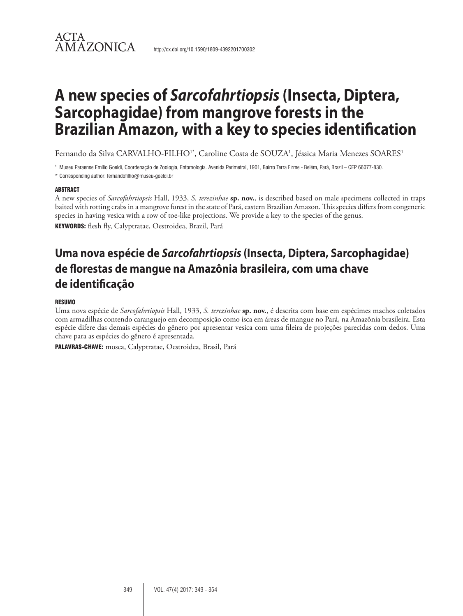# **A new species of** *Sarcofahrtiopsis* **(Insecta, Diptera, Sarcophagidae) from mangrove forests in the Brazilian Amazon, with a key to species identification**

Fernando da Silva CARVALHO-FILHO<sup>1\*</sup>, Caroline Costa de SOUZA<sup>1</sup>, Jéssica Maria Menezes SOARES<sup>1</sup>

<sup>1</sup> Museu Paraense Emílio Goeldi, Coordenação de Zoologia, Entomologia. Avenida Perimetral, 1901, Bairro Terra Firme - Belém, Pará, Brazil – CEP 66077-830.

\* Corresponding author: fernandofilho@museu-goeldi.br

# ABSTRACT

ACTA

A new species of *Sarcofahrtiopsis* Hall, 1933, *S. terezinhae* **sp. nov.**, is described based on male specimens collected in traps baited with rotting crabs in a mangrove forest in the state of Pará, eastern Brazilian Amazon. This species differs from congeneric species in having vesica with a row of toe-like projections. We provide a key to the species of the genus.

KEYWORDS: flesh fly, Calyptratae, Oestroidea, Brazil, Pará

# **Uma nova espécie de** *Sarcofahrtiopsis* **(Insecta, Diptera, Sarcophagidae) de florestas de mangue na Amazônia brasileira, com uma chave de identificação**

# RESUMO

Uma nova espécie de *Sarcofahrtiopsis* Hall, 1933, *S. terezinhae* **sp. nov.**, é descrita com base em espécimes machos coletados com armadilhas contendo caranguejo em decomposição como isca em áreas de mangue no Pará, na Amazônia brasileira. Esta espécie difere das demais espécies do gênero por apresentar vesica com uma fileira de projeções parecidas com dedos. Uma chave para as espécies do gênero é apresentada.

PALAVRAS-CHAVE: mosca, Calyptratae, Oestroidea, Brasil, Pará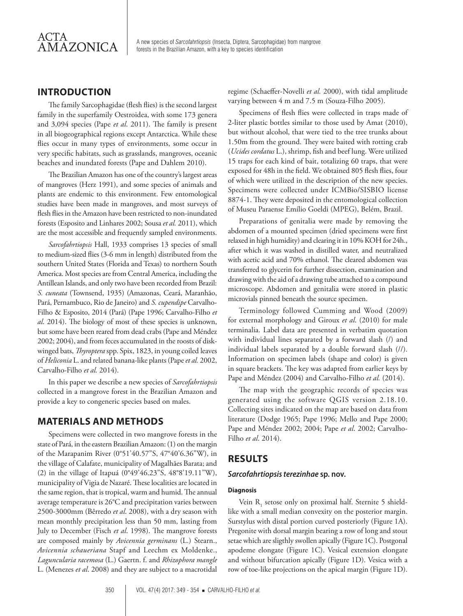A new species of *Sarcofahrtiopsis* (Insecta, Diptera, Sarcophagidae) from mangrove forests in the Brazilian Amazon, with a key to species identification

# **INTRODUCTION**

The family Sarcophagidae (flesh flies) is the second largest family in the superfamily Oestroidea, with some 173 genera and 3,094 species (Pape *et al*. 2011). The family is present in all biogeographical regions except Antarctica. While these flies occur in many types of environments, some occur in very specific habitats, such as grasslands, mangroves, oceanic beaches and inundated forests (Pape and Dahlem 2010).

The Brazilian Amazon has one of the country's largest areas of mangroves (Herz 1991), and some species of animals and plants are endemic to this environment. Few entomological studies have been made in mangroves, and most surveys of flesh flies in the Amazon have been restricted to non-inundated forests (Esposito and Linhares 2002; Sousa *et al.* 2011), which are the most accessible and frequently sampled environments.

*Sarcofahrtiopsis* Hall, 1933 comprises 13 species of small to medium-sized flies (3-6 mm in length) distributed from the southern United States (Florida and Texas) to northern South America. Most species are from Central America, including the Antillean Islands, and only two have been recorded from Brazil: *S. cuneata* (Townsend, 1935) (Amazonas, Ceará, Maranhão, Pará, Pernambuco, Rio de Janeiro) and *S. cupendipe* Carvalho-Filho & Esposito, 2014 (Pará) (Pape 1996; Carvalho-Filho *et al*. 2014). The biology of most of these species is unknown, but some have been reared from dead crabs (Pape and Méndez 2002; 2004), and from feces accumulated in the roosts of diskwinged bats, *Thyroptera* spp. Spix, 1823, in young coiled leaves of *Heliconia* L. and related banana-like plants (Pape *et al.* 2002, Carvalho-Filho *et al.* 2014).

In this paper we describe a new species of *Sarcofahrtiopsis*  collected in a mangrove forest in the Brazilian Amazon and provide a key to congeneric species based on males.

# **MATERIALS AND METHODS**

Specimens were collected in two mangrove forests in the state of Pará, in the eastern Brazilian Amazon: (1) on the margin of the Marapanim River (0°51'40.57"S, 47°40'6.36"W), in the village of Calafate, municipality of Magalhães Barata; and (2) in the village of Itapuá (0°49'46.23"S, 48°8'19.11"W), municipality of Vigia de Nazaré. These localities are located in the same region, that is tropical, warm and humid. The annual average temperature is 26°C and precipitation varies between 2500-3000mm (Bêrredo *et al*. 2008), with a dry season with mean monthly precipitation less than 50 mm, lasting from July to December (Fisch *et al*. 1998). The mangrove forests are composed mainly by *Avicennia germinans* (L.) Stearn., *Avicennia schaueriana* Stapf and Leechm ex Moldenke., *Laguncularia racemosa* (L.) Gaertn. f. and *Rhizophora mangle* L. (Menezes *et al*. 2008) and they are subject to a macrotidal regime (Schaeffer-Novelli *et al.* 2000), with tidal amplitude varying between 4 m and 7.5 m (Souza-Filho 2005).

Specimens of flesh flies were collected in traps made of 2-liter plastic bottles similar to those used by Amat (2010), but without alcohol, that were tied to the tree trunks about 1.50m from the ground. They were baited with rotting crab (*Ucides cordatus* L.), shrimp, fish and beef lung. Were utilized 15 traps for each kind of bait, totalizing 60 traps, that were exposed for 48h in the field. We obtained 805 flesh flies, four of which were utilized in the description of the new species. Specimens were collected under ICMBio/SISBIO license 8874-1. They were deposited in the entomological collection of Museu Paraense Emílio Goeldi (MPEG), Belém, Brazil.

Preparations of genitalia were made by removing the abdomen of a mounted specimen (dried specimens were first relaxed in high humidity) and clearing it in 10% KOH for 24h., after which it was washed in distilled water, and neutralized with acetic acid and 70% ethanol. The cleared abdomen was transferred to glycerin for further dissection, examination and drawing with the aid of a drawing tube attached to a compound microscope. Abdomen and genitalia were stored in plastic microvials pinned beneath the source specimen.

Terminology followed Cumming and Wood (2009) for external morphology and Giroux *et al*. (2010) for male terminalia. Label data are presented in verbatim quotation with individual lines separated by a forward slash (/) and individual labels separated by a double forward slash (//). Information on specimen labels (shape and color) is given in square brackets. The key was adapted from earlier keys by Pape and Méndez (2004) and Carvalho-Filho *et al.* (2014).

The map with the geographic records of species was generated using the software QGIS version 2.18.10. Collecting sites indicated on the map are based on data from literature (Dodge 1965; Pape 1996; Mello and Pape 2000; Pape and Méndez 2002; 2004; Pape *et al*. 2002; Carvalho-Filho *et al*. 2014).

# **RESULTS**

# *Sarcofahrtiopsis terezinhae* **sp. nov.**

# **Diagnosis**

Vein  $R_1$  setose only on proximal half. Sternite 5 shieldlike with a small median convexity on the posterior margin. Surstylus with distal portion curved posteriorly (Figure 1A). Pregonite with dorsal margin bearing a row of long and stout setae which are sligthly swollen apically (Figure 1C). Postgonal apodeme elongate (Figure 1C). Vesical extension elongate and without bifurcation apically (Figure 1D). Vesica with a row of toe-like projections on the apical margin (Figure 1D).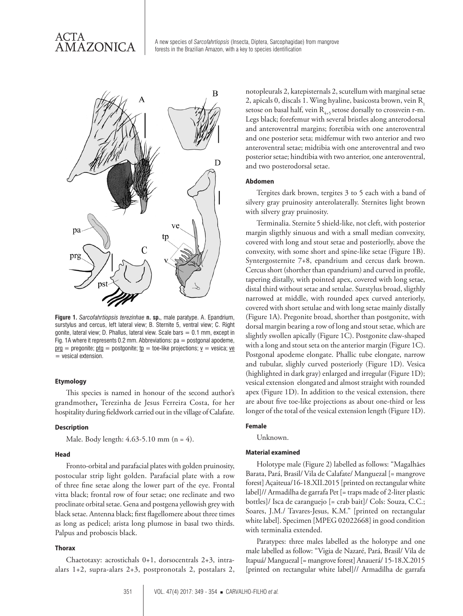A new species of *Sarcofahrtiopsis* (Insecta, Diptera, Sarcophagidae) from mangrove forests in the Brazilian Amazon, with a key to species identification



**Figure 1.** *Sarcofahrtiopsis terezinhae* **n. sp.**, male paratype. A. Epandrium, surstylus and cercus, left lateral view; B. Sternite 5, ventral view; C. Right gonite, lateral view; D. Phallus, lateral view. Scale bars  $= 0.1$  mm, except in Fig. 1A where it represents 0.2 mm. Abbreviations:  $pa = postgonal apodeme$ ,  $\text{prg} = \text{pregonite}$ ;  $\text{ptg} = \text{postgonite}$ ;  $\text{tp} = \text{toe-like projections}$ ;  $\text{v} = \text{vesica}$ ;  $\text{ve}$ = vesical extension.

#### **Etymology**

This species is named in honour of the second author's grandmother**,** Terezinha de Jesus Ferreira Costa, for her hospitality during fieldwork carried out in the village of Calafate.

### **Description**

Male. Body length: 4.63-5.10 mm (n = 4).

#### **Head**

Fronto-orbital and parafacial plates with golden pruinosity, postocular strip light golden. Parafacial plate with a row of three fine setae along the lower part of the eye. Frontal vitta black; frontal row of four setae; one reclinate and two proclinate orbital setae. Gena and postgena yellowish grey with black setae. Antenna black; first flagellomere about three times as long as pedicel; arista long plumose in basal two thirds. Palpus and proboscis black.

#### **Thorax**

Chaetotaxy: acrostichals 0+1, dorsocentrals 2+3, intraalars 1+2, supra-alars 2+3, postpronotals 2, postalars 2, notopleurals 2, katepisternals 2, scutellum with marginal setae 2, apicals 0, discals 1. Wing hyaline, basicosta brown, vein R<sub>1</sub> setose on basal half, vein  $R_{4+5}$  setose dorsally to crossvein r-m. Legs black; forefemur with several bristles along anterodorsal and anteroventral margins; foretibia with one anteroventral and one posterior seta; midfemur with two anterior and two anteroventral setae; midtibia with one anteroventral and two posterior setae; hindtibia with two anterior, one anteroventral, and two posterodorsal setae.

#### **Abdomen**

Tergites dark brown, tergites 3 to 5 each with a band of silvery gray pruinosity anterolaterally. Sternites light brown with silvery gray pruinosity.

Terminalia. Sternite 5 shield-like, not cleft, with posterior margin sligthly sinuous and with a small median convexity, covered with long and stout setae and posteriorlly, above the convexity, with some short and spine-like setae (Figure 1B). Syntergosternite 7+8, epandrium and cercus dark brown. Cercus short (shorther than epandrium) and curved in profile, tapering distally, with pointed apex, covered with long setae, distal third without setae and setulae. Surstylus broad, sligthly narrowed at middle, with rounded apex curved anteriorly, covered with short setulae and with long setae mainly distally (Figure 1A). Pregonite broad, shorther than postgonite, with dorsal margin bearing a row of long and stout setae, which are slightly swollen apically (Figure 1C). Postgonite claw-shaped with a long and stout seta on the anterior margin (Figure 1C). Postgonal apodeme elongate. Phallic tube elongate, narrow and tubular, slighly curved posteriorly (Figure 1D). Vesica (highlighted in dark gray) enlarged and irregular (Figure 1D); vesical extension elongated and almost straight with rounded apex (Figure 1D). In addition to the vesical extension, there are about five toe-like projections as about one-third or less longer of the total of the vesical extension length (Figure 1D).

#### **Female**

Unknown.

#### **Material examined**

Holotype male (Figure 2) labelled as follows: "Magalhães Barata, Pará, Brasil/ Vila de Calafate/ Manguezal [= mangrove forest] Açaiteua/16-18.XII.2015 [printed on rectangular white label]// Armadilha de garrafa Pet [= traps made of 2-liter plastic bottles]/ Isca de caranguejo [= crab bait]/ Cols: Souza, C.C.; Soares, J.M./ Tavares-Jesus, K.M." [printed on rectangular white label]. Specimen [MPEG 02022668] in good condition with terminalia extended.

Paratypes: three males labelled as the holotype and one male labelled as follow: "Vigia de Nazaré, Pará, Brasil/ Vila de Itapuá/ Manguezal [= mangrove forest] Anauerá/ 15-18.X.2015 [printed on rectangular white label]// Armadilha de garrafa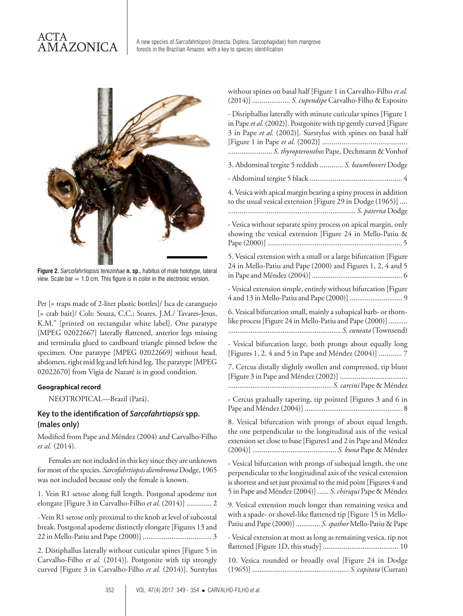# ACTA **AMAZONICA**

A new species of *Sarcofahrtiopsis* (Insecta, Diptera, Sarcophagidae) from mangrove forests in the Brazilian Amazon, with a key to species identification



**Figure 2.** *Sarcofahrtiopsis terezinhae* **n. sp.**, habitus of male holotype, lateral view. Scale bar  $= 1.0$  cm. This figure is in color in the electronic version.

Pet [= traps made of 2-liter plastic bottles]/ Isca de caranguejo [= crab bait]/ Cols: Souza, C.C.; Soares, J.M./ Tavares-Jesus, K.M." [printed on rectangular white label]. One paratype [MPEG 02022667] laterally flattened, anterior legs missing and terminalia glued to cardboard triangle pinned below the specimen. One paratype [MPEG 02022669] without head, abdomen, right mid leg and left hind leg. The paratype [MPEG 02022670] from Vigia de Nazaré is in good condition.

# **Geographical record**

NEOTROPICAL—Brazil (Pará).

# **Key to the identification of** *Sarcofahrtiopsis* **spp. (males only)**

Modified from Pape and Méndez (2004) and Carvalho-Filho *et al.* (2014).

Females are not included in this key since they are unknown for most of the species. *Sarcofahrtiopsis diembroma* Dodge, 1965 was not included because only the female is known.

1. Vein R1 setose along full length. Postgonal apodeme not elongate [Figure 3 in Carvalho-Filho *et al.* (2014)] ............. 2

- Vein R1 setose only proximal to the knob at level of subcostal break. Postgonal apodeme distinctly elongate [Figures 13 and 22 in Mello-Patiu and Pape (2000)] .................................... 3

2. Distiphallus laterally without cuticular spines [Figure 5 in Carvalho-Filho *et al.* (2014)]. Postgonite with tip strongly curved [Figure 3 in Carvalho-Filho *et al.* (2014)]. Surstylus

| without spines on basal half [Figure 1 in Carvalho-Filho et al.<br>(2014)]  S. cupendipe Carvalho-Filho & Esposito                                                                                                                                               |
|------------------------------------------------------------------------------------------------------------------------------------------------------------------------------------------------------------------------------------------------------------------|
| - Distiphallus laterally with minute cuticular spines [Figure 1<br>in Pape et al. (2002)]. Postgonite with tip gently curved [Figure<br>3 in Pape et al. (2002)]. Surstylus with spines on basal half<br>S. thyropteronthos Pape, Dechmann & Vonhof              |
| 3. Abdominal tergite 5 reddish  S. baumhoveri Dodge                                                                                                                                                                                                              |
|                                                                                                                                                                                                                                                                  |
| 4. Vesica with apical margin bearing a spiny process in addition<br>to the usual vesical extension [Figure 29 in Dodge (1965)]                                                                                                                                   |
| - Vesica without separate spiny process on apical margin, only<br>showing the vesical extension [Figure 24 in Mello-Patiu &                                                                                                                                      |
| 5. Vesical extension with a small or a large bifurcation [Figure<br>24 in Mello-Patiu and Pape (2000) and Figures 1, 2, 4 and 5                                                                                                                                  |
| - Vesical extension simple, entirely without bifurcation [Figure                                                                                                                                                                                                 |
| 6. Vesical bifurcation small, mainly a subapical barb- or thorn-<br>like process [Figure 24 in Mello-Patiu and Pape (2000)]                                                                                                                                      |
| - Vesical bifurcation large, both prongs about equally long<br>[Figures 1, 2, 4 and 5 in Pape and Méndez (2004)]  7                                                                                                                                              |
| 7. Cercus distally slightly swollen and compressed, tip blunt                                                                                                                                                                                                    |
| - Cercus gradually tapering, tip pointed [Figures 3 and 6 in                                                                                                                                                                                                     |
| 8. Vesical bifurcation with prongs of about equal length,<br>the one perpendicular to the longitudinal axis of the vesical<br>extension set close to base [Figures1 and 2 in Pape and Méndez                                                                     |
| - Vesical bifurcation with prongs of subequal length, the one<br>perpendicular to the longitudinal axis of the vesical extension<br>is shortest and set just proximal to the mid point [Figures 4 and<br>5 in Pape and Méndez (2004)]  S. chiriqui Pape & Méndez |
| 9. Vesical extension much longer than remaining vesica and<br>with a spade- or shovel-like flattened tip [Figure 15 in Mello-<br>Patiu and Pape (2000)]  S. spathor Mello-Patiu & Pape                                                                           |
| - Vesical extension at most as long as remaining vesica, tip not                                                                                                                                                                                                 |
| 10. Vesica rounded or broadly oval [Figure 24 in Dodge                                                                                                                                                                                                           |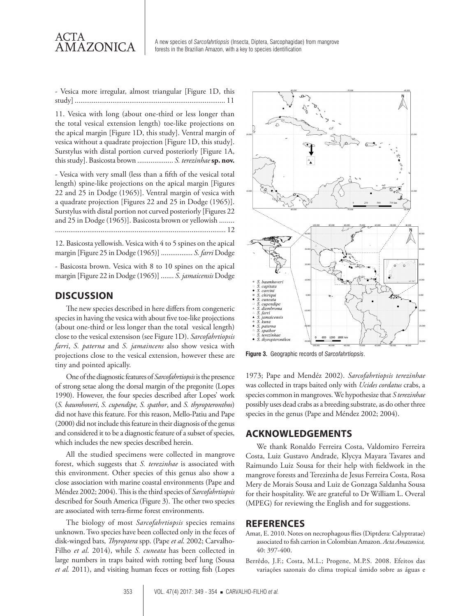

A new species of *Sarcofahrtiopsis* (Insecta, Diptera, Sarcophagidae) from mangrove forests in the Brazilian Amazon, with a key to species identification

- Vesica more irregular, almost triangular [Figure 1D, this study] ................................................................................ 11

11. Vesica with long (about one-third or less longer than the total vesical extension length) toe-like projections on the apical margin [Figure 1D, this study]. Ventral margin of vesica without a quadrate projection [Figure 1D, this study]. Surstylus with distal portion curved posteriorly [Figure 1A, this study]. Basicosta brown ................... *S. terezinhae* **sp. nov.**

- Vesica with very small (less than a fifth of the vesical total length) spine-like projections on the apical margin [Figures 22 and 25 in Dodge (1965)]. Ventral margin of vesica with a quadrate projection [Figures 22 and 25 in Dodge (1965)]. Surstylus with distal portion not curved posteriorly [Figures 22 and 25 in Dodge (1965)]. Basicosta brown or yellowish ........ .......................................................................................... 12

12. Basicosta yellowish. Vesica with 4 to 5 spines on the apical margin [Figure 25 in Dodge (1965)] ................. *S. farri* Dodge

- Basicosta brown. Vesica with 8 to 10 spines on the apical margin [Figure 22 in Dodge (1965)] ....... *S. jamaicensis* Dodge

# **DISCUSSION**

The new species described in here differs from congeneric species in having the vesica with about five toe-like projections (about one-third or less longer than the total vesical length) close to the vesical extensison (see Figure 1D). *Sarcofahrtiopsis farri*, *S. paterna* and *S. jamaincens* also show vesica with projections close to the vesical extension, however these are tiny and pointed apically.

One of the diagnostic features of *Sarcofahrtiopsis* is the presence of strong setae along the dorsal margin of the pregonite (Lopes 1990). However, the four species described after Lopes' work (*S. baumhoveri*, *S. cupendipe, S. spathor*, and *S. thyropteronthos*) did not have this feature. For this reason, Mello-Patiu and Pape (2000) did not include this feature in their diagnosis of the genus and considered it to be a diagnostic feature of a subset of species, which includes the new species described herein.

All the studied specimens were collected in mangrove forest, which suggests that *S. terezinhae* is associated with this environment. Other species of this genus also show a close association with marine coastal environments (Pape and Méndez 2002; 2004). This is the third species of *Sarcofahrtiopsis* described for South America (Figure 3). The other two species are associated with terra-firme forest environments.

The biology of most *Sarcofahrtiopsis* species remains unknown. Two species have been collected only in the feces of disk-winged bats, *Thyroptera* spp. (Pape *et al*. 2002; Carvalho-Filho *et al*. 2014), while *S. cuneata* has been collected in large numbers in traps baited with rotting beef lung (Sousa *et al.* 2011), and visiting human feces or rotting fish (Lopes



**Figure 3.** Geographic records of *Sarcofahrtiopsis*.

1973; Pape and Mendéz 2002). *Sarcofahrtiopsis terezinhae*  was collected in traps baited only with *Ucides cordatus* crabs, a species common in mangroves. We hypothesize that *S terezinhae* possibly uses dead crabs as a breeding substrate, as do other three species in the genus (Pape and Méndez 2002; 2004).

# **ACKNOWLEDGEMENTS**

We thank Ronaldo Ferreira Costa, Valdomiro Ferreira Costa, Luiz Gustavo Andrade, Klycya Mayara Tavares and Raimundo Luiz Sousa for their help with fieldwork in the mangrove forests and Terezinha de Jesus Ferreira Costa, Rosa Mery de Morais Sousa and Luiz de Gonzaga Saldanha Sousa for their hospitality. We are grateful to Dr William L. Overal (MPEG) for reviewing the English and for suggestions.

# **REFERENCES**

- Amat, E. 2010. Notes on necrophagous flies (Diptdera: Calyptratae) associated to fish carrion in Colombian Amazon. *Acta Amazonica,* 40: 397-400.
- Berrêdo, J.F.; Costa, M.L.; Progene, M.P.S. 2008. Efeitos das variações sazonais do clima tropical úmido sobre as águas e